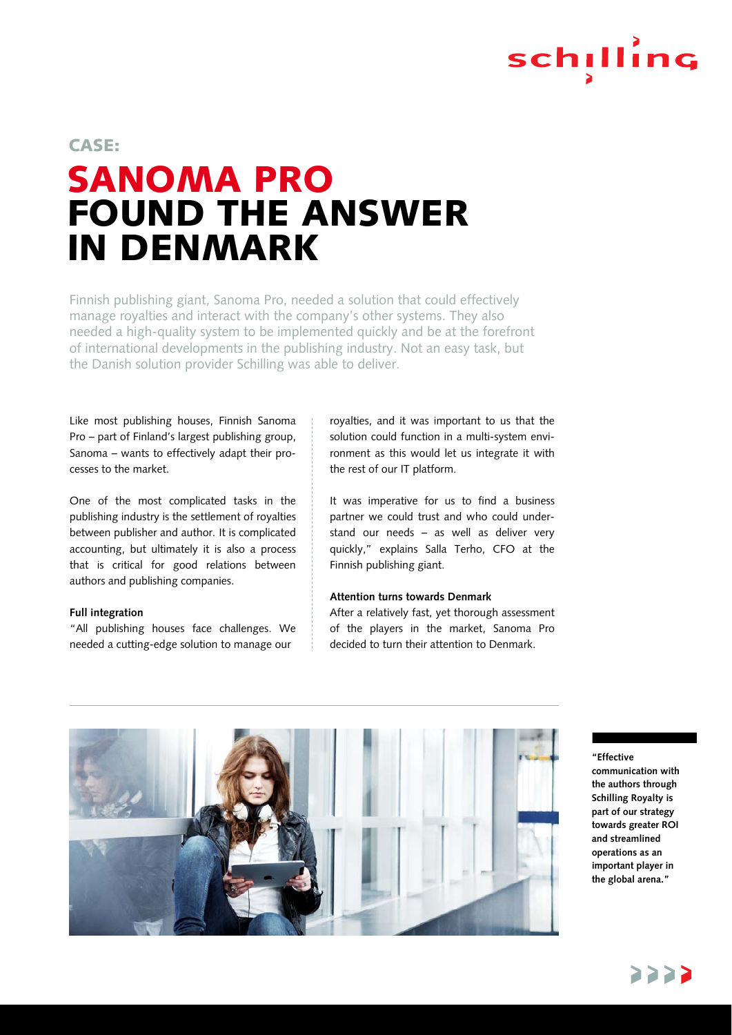

## SANOMA PRO FOUND THE ANSWER IN DENMARK CASE:

Finnish publishing giant, Sanoma Pro, needed a solution that could effectively manage royalties and interact with the company's other systems. They also needed a high-quality system to be implemented quickly and be at the forefront of international developments in the publishing industry. Not an easy task, but the Danish solution provider Schilling was able to deliver.

Like most publishing houses, Finnish Sanoma Pro – part of Finland's largest publishing group, Sanoma – wants to effectively adapt their processes to the market.

One of the most complicated tasks in the publishing industry is the settlement of royalties between publisher and author. It is complicated accounting, but ultimately it is also a process that is critical for good relations between authors and publishing companies.

#### **Full integration**

"All publishing houses face challenges. We needed a cutting-edge solution to manage our

royalties, and it was important to us that the solution could function in a multi-system environment as this would let us integrate it with the rest of our IT platform.

It was imperative for us to find a business partner we could trust and who could understand our needs – as well as deliver very quickly," explains Salla Terho, CFO at the Finnish publishing giant.

#### **Attention turns towards Denmark**

After a relatively fast, yet thorough assessment of the players in the market, Sanoma Pro decided to turn their attention to Denmark.



#### **"Effective**

**communication with the authors through Schilling Royalty is part of our strategy towards greater ROI and streamlined operations as an important player in the global arena."**